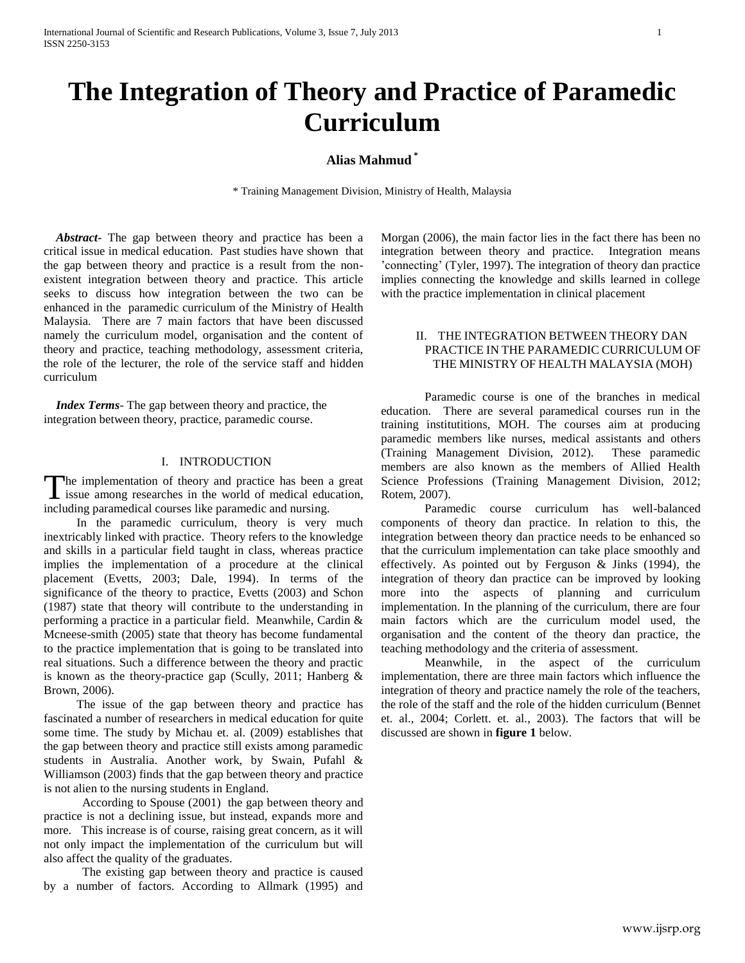# **The Integration of Theory and Practice of Paramedic Curriculum**

# **Alias Mahmud \***

\* Training Management Division, Ministry of Health, Malaysia

 *Abstract***-** The gap between theory and practice has been a critical issue in medical education. Past studies have shown that the gap between theory and practice is a result from the nonexistent integration between theory and practice. This article seeks to discuss how integration between the two can be enhanced in the paramedic curriculum of the Ministry of Health Malaysia. There are 7 main factors that have been discussed namely the curriculum model, organisation and the content of theory and practice, teaching methodology, assessment criteria, the role of the lecturer, the role of the service staff and hidden curriculum

 *Index Terms*- The gap between theory and practice, the integration between theory, practice, paramedic course.

#### I. INTRODUCTION

he implementation of theory and practice has been a great The implementation of theory and practice has been a great<br>issue among researches in the world of medical education, including paramedical courses like paramedic and nursing.

In the paramedic curriculum, theory is very much inextricably linked with practice. Theory refers to the knowledge and skills in a particular field taught in class, whereas practice implies the implementation of a procedure at the clinical placement (Evetts, 2003; Dale, 1994). In terms of the significance of the theory to practice, Evetts (2003) and Schon (1987) state that theory will contribute to the understanding in performing a practice in a particular field. Meanwhile, Cardin & Mcneese-smith (2005) state that theory has become fundamental to the practice implementation that is going to be translated into real situations. Such a difference between the theory and practic is known as the theory-practice gap (Scully, 2011; Hanberg & Brown, 2006).

The issue of the gap between theory and practice has fascinated a number of researchers in medical education for quite some time. The study by Michau et. al. (2009) establishes that the gap between theory and practice still exists among paramedic students in Australia. Another work, by Swain, Pufahl & Williamson (2003) finds that the gap between theory and practice is not alien to the nursing students in England.

According to Spouse (2001) the gap between theory and practice is not a declining issue, but instead, expands more and more. This increase is of course, raising great concern, as it will not only impact the implementation of the curriculum but will also affect the quality of the graduates.

The existing gap between theory and practice is caused by a number of factors. According to Allmark (1995) and

Morgan (2006), the main factor lies in the fact there has been no integration between theory and practice. Integration means 'connecting' (Tyler, 1997). The integration of theory dan practice implies connecting the knowledge and skills learned in college with the practice implementation in clinical placement

## II. THE INTEGRATION BETWEEN THEORY DAN PRACTICE IN THE PARAMEDIC CURRICULUM OF THE MINISTRY OF HEALTH MALAYSIA (MOH)

Paramedic course is one of the branches in medical education. There are several paramedical courses run in the training institutitions, MOH. The courses aim at producing paramedic members like nurses, medical assistants and others (Training Management Division, 2012). These paramedic members are also known as the members of Allied Health Science Professions (Training Management Division, 2012; Rotem, 2007).

Paramedic course curriculum has well-balanced components of theory dan practice. In relation to this, the integration between theory dan practice needs to be enhanced so that the curriculum implementation can take place smoothly and effectively. As pointed out by Ferguson & Jinks (1994), the integration of theory dan practice can be improved by looking more into the aspects of planning and curriculum implementation. In the planning of the curriculum, there are four main factors which are the curriculum model used, the organisation and the content of the theory dan practice, the teaching methodology and the criteria of assessment.

Meanwhile, in the aspect of the curriculum implementation, there are three main factors which influence the integration of theory and practice namely the role of the teachers, the role of the staff and the role of the hidden curriculum (Bennet et. al., 2004; Corlett. et. al., 2003). The factors that will be discussed are shown in **figure 1** below.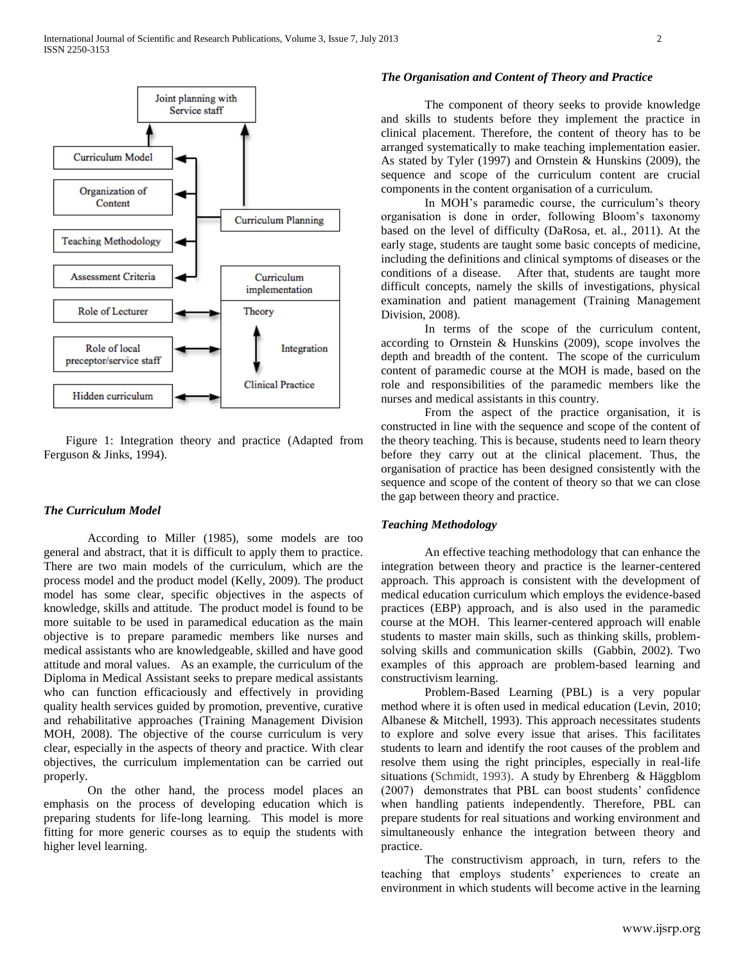

Figure 1: Integration theory and practice (Adapted from Ferguson & Jinks, 1994).

## *The Curriculum Model*

According to Miller (1985), some models are too general and abstract, that it is difficult to apply them to practice. There are two main models of the curriculum, which are the process model and the product model (Kelly, 2009). The product model has some clear, specific objectives in the aspects of knowledge, skills and attitude. The product model is found to be more suitable to be used in paramedical education as the main objective is to prepare paramedic members like nurses and medical assistants who are knowledgeable, skilled and have good attitude and moral values. As an example, the curriculum of the Diploma in Medical Assistant seeks to prepare medical assistants who can function efficaciously and effectively in providing quality health services guided by promotion, preventive, curative and rehabilitative approaches (Training Management Division MOH, 2008). The objective of the course curriculum is very clear, especially in the aspects of theory and practice. With clear objectives, the curriculum implementation can be carried out properly.

On the other hand, the process model places an emphasis on the process of developing education which is preparing students for life-long learning. This model is more fitting for more generic courses as to equip the students with higher level learning.

### *The Organisation and Content of Theory and Practice*

The component of theory seeks to provide knowledge and skills to students before they implement the practice in clinical placement. Therefore, the content of theory has to be arranged systematically to make teaching implementation easier. As stated by Tyler (1997) and Ornstein & Hunskins (2009), the sequence and scope of the curriculum content are crucial components in the content organisation of a curriculum.

In MOH's paramedic course, the curriculum's theory organisation is done in order, following Bloom's taxonomy based on the level of difficulty (DaRosa, et. al., 2011). At the early stage, students are taught some basic concepts of medicine, including the definitions and clinical symptoms of diseases or the conditions of a disease. After that, students are taught more difficult concepts, namely the skills of investigations, physical examination and patient management (Training Management Division, 2008).

In terms of the scope of the curriculum content, according to Ornstein & Hunskins (2009), scope involves the depth and breadth of the content. The scope of the curriculum content of paramedic course at the MOH is made, based on the role and responsibilities of the paramedic members like the nurses and medical assistants in this country.

From the aspect of the practice organisation, it is constructed in line with the sequence and scope of the content of the theory teaching. This is because, students need to learn theory before they carry out at the clinical placement. Thus, the organisation of practice has been designed consistently with the sequence and scope of the content of theory so that we can close the gap between theory and practice.

## *Teaching Methodology*

An effective teaching methodology that can enhance the integration between theory and practice is the learner-centered approach. This approach is consistent with the development of medical education curriculum which employs the evidence-based practices (EBP) approach, and is also used in the paramedic course at the MOH. This learner-centered approach will enable students to master main skills, such as thinking skills, problemsolving skills and communication skills (Gabbin, 2002). Two examples of this approach are problem-based learning and constructivism learning.

Problem-Based Learning (PBL) is a very popular method where it is often used in medical education (Levin, 2010; Albanese & Mitchell, 1993). This approach necessitates students to explore and solve every issue that arises. This facilitates students to learn and identify the root causes of the problem and resolve them using the right principles, especially in real-life situations (Schmidt, 1993). A study by Ehrenberg & Häggblom (2007) demonstrates that PBL can boost students' confidence when handling patients independently. Therefore, PBL can prepare students for real situations and working environment and simultaneously enhance the integration between theory and practice.

The constructivism approach, in turn, refers to the teaching that employs students' experiences to create an environment in which students will become active in the learning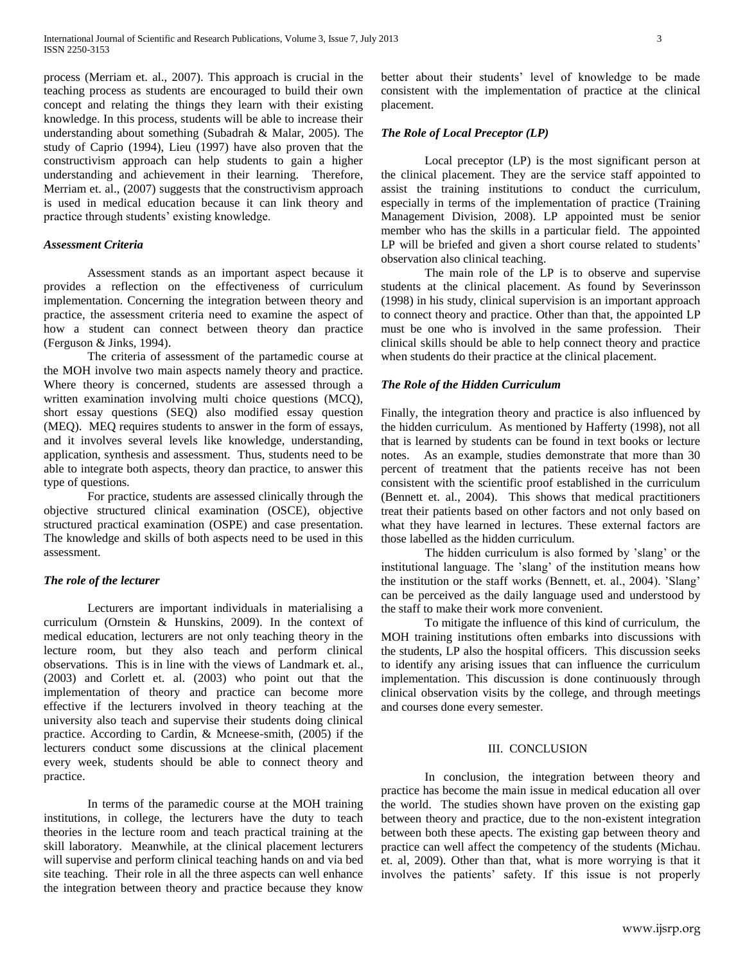process (Merriam et. al., 2007). This approach is crucial in the teaching process as students are encouraged to build their own concept and relating the things they learn with their existing knowledge. In this process, students will be able to increase their understanding about something (Subadrah & Malar, 2005). The study of Caprio (1994), Lieu (1997) have also proven that the constructivism approach can help students to gain a higher understanding and achievement in their learning. Therefore, Merriam et. al., (2007) suggests that the constructivism approach is used in medical education because it can link theory and practice through students' existing knowledge.

#### *Assessment Criteria*

Assessment stands as an important aspect because it provides a reflection on the effectiveness of curriculum implementation. Concerning the integration between theory and practice, the assessment criteria need to examine the aspect of how a student can connect between theory dan practice (Ferguson & Jinks, 1994).

The criteria of assessment of the partamedic course at the MOH involve two main aspects namely theory and practice. Where theory is concerned, students are assessed through a written examination involving multi choice questions (MCQ), short essay questions (SEQ) also modified essay question (MEQ). MEQ requires students to answer in the form of essays, and it involves several levels like knowledge, understanding, application, synthesis and assessment. Thus, students need to be able to integrate both aspects, theory dan practice, to answer this type of questions.

For practice, students are assessed clinically through the objective structured clinical examination (OSCE), objective structured practical examination (OSPE) and case presentation. The knowledge and skills of both aspects need to be used in this assessment.

#### *The role of the lecturer*

Lecturers are important individuals in materialising a curriculum (Ornstein & Hunskins, 2009). In the context of medical education, lecturers are not only teaching theory in the lecture room, but they also teach and perform clinical observations. This is in line with the views of Landmark et. al., (2003) and Corlett et. al. (2003) who point out that the implementation of theory and practice can become more effective if the lecturers involved in theory teaching at the university also teach and supervise their students doing clinical practice. According to Cardin, & Mcneese-smith, (2005) if the lecturers conduct some discussions at the clinical placement every week, students should be able to connect theory and practice.

In terms of the paramedic course at the MOH training institutions, in college, the lecturers have the duty to teach theories in the lecture room and teach practical training at the skill laboratory. Meanwhile, at the clinical placement lecturers will supervise and perform clinical teaching hands on and via bed site teaching. Their role in all the three aspects can well enhance the integration between theory and practice because they know

better about their students' level of knowledge to be made consistent with the implementation of practice at the clinical placement.

## *The Role of Local Preceptor (LP)*

Local preceptor (LP) is the most significant person at the clinical placement. They are the service staff appointed to assist the training institutions to conduct the curriculum, especially in terms of the implementation of practice (Training Management Division, 2008). LP appointed must be senior member who has the skills in a particular field. The appointed LP will be briefed and given a short course related to students' observation also clinical teaching.

The main role of the LP is to observe and supervise students at the clinical placement. As found by Severinsson (1998) in his study, clinical supervision is an important approach to connect theory and practice. Other than that, the appointed LP must be one who is involved in the same profession. Their clinical skills should be able to help connect theory and practice when students do their practice at the clinical placement.

## *The Role of the Hidden Curriculum*

Finally, the integration theory and practice is also influenced by the hidden curriculum. As mentioned by Hafferty (1998), not all that is learned by students can be found in text books or lecture notes. As an example, studies demonstrate that more than 30 percent of treatment that the patients receive has not been consistent with the scientific proof established in the curriculum (Bennett et. al., 2004). This shows that medical practitioners treat their patients based on other factors and not only based on what they have learned in lectures. These external factors are those labelled as the hidden curriculum.

The hidden curriculum is also formed by 'slang' or the institutional language. The 'slang' of the institution means how the institution or the staff works (Bennett, et. al., 2004). 'Slang' can be perceived as the daily language used and understood by the staff to make their work more convenient.

To mitigate the influence of this kind of curriculum, the MOH training institutions often embarks into discussions with the students, LP also the hospital officers. This discussion seeks to identify any arising issues that can influence the curriculum implementation. This discussion is done continuously through clinical observation visits by the college, and through meetings and courses done every semester.

## III. CONCLUSION

In conclusion, the integration between theory and practice has become the main issue in medical education all over the world. The studies shown have proven on the existing gap between theory and practice, due to the non-existent integration between both these apects. The existing gap between theory and practice can well affect the competency of the students (Michau. et. al, 2009). Other than that, what is more worrying is that it involves the patients' safety. If this issue is not properly